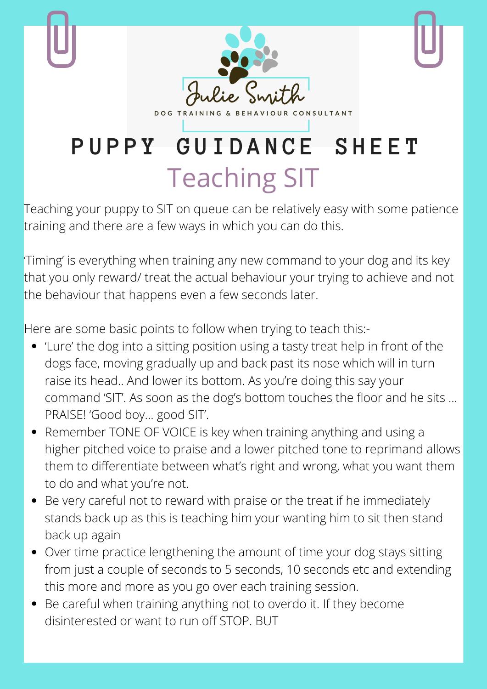

Teaching your puppy to SIT on queue can be relatively easy with some patience training and there are a few ways in which you can do this.

'Timing' is everything when training any new command to your dog and its key that you only reward/ treat the actual behaviour your trying to achieve and not the behaviour that happens even a few seconds later.

Here are some basic points to follow when trying to teach this:-

- 'Lure' the dog into a sitting position using a tasty treat help in front of the dogs face, moving gradually up and back past its nose which will in turn raise its head.. And lower its bottom. As you're doing this say your command 'SIT'. As soon as the dog's bottom touches the floor and he sits … PRAISE! 'Good boy… good SIT'.
- Remember TONE OF VOICE is key when training anything and using a higher pitched voice to praise and a lower pitched tone to reprimand allows them to differentiate between what's right and wrong, what you want them to do and what you're not.
- Be very careful not to reward with praise or the treat if he immediately stands back up as this is teaching him your wanting him to sit then stand back up again
- Over time practice lengthening the amount of time your dog stays sitting from just a couple of seconds to 5 seconds, 10 seconds etc and extending this more and more as you go over each training session.
- Be careful when training anything not to overdo it. If they become disinterested or want to run off STOP. BUT